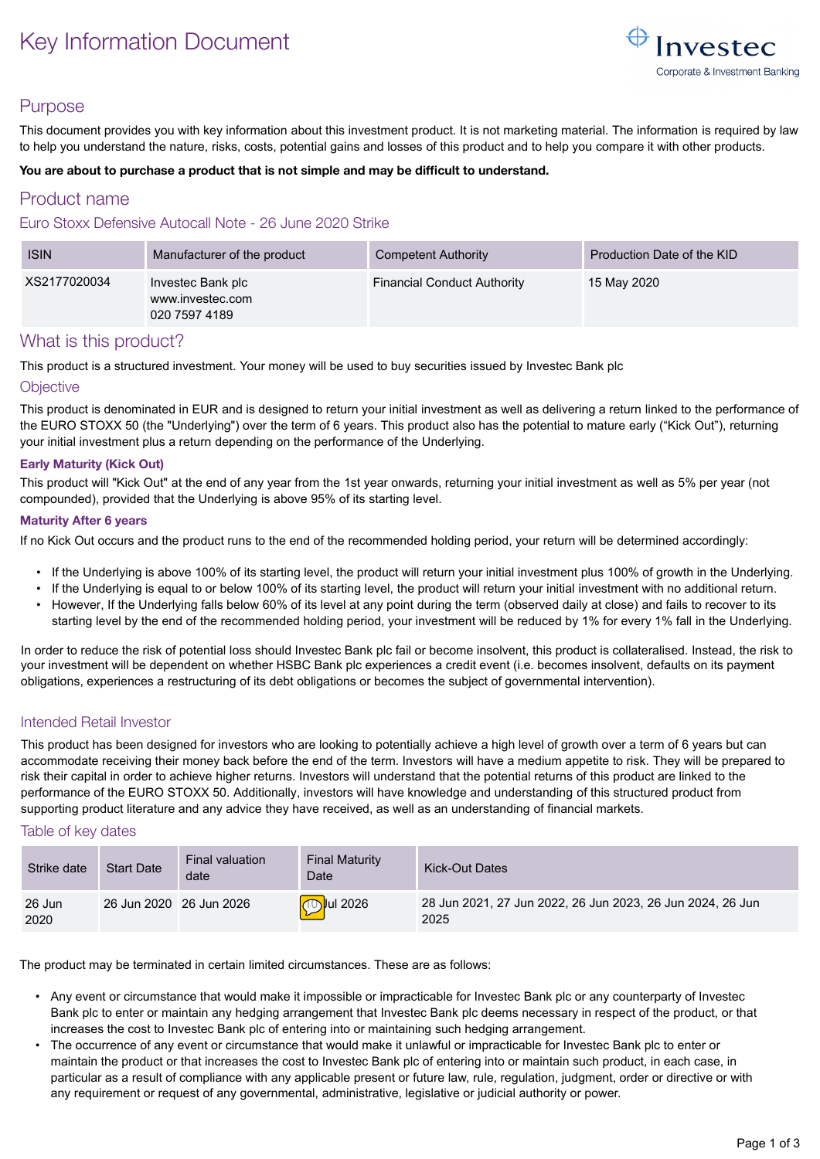# Key Information Document



## Purpose

This document provides you with key information about this investment product. It is not marketing material. The information is required by law to help you understand the nature, risks, costs, potential gains and losses of this product and to help you compare it with other products.

#### **You are about to purchase a product that is not simple and may be difficult to understand.**

## Product name

#### Euro Stoxx Defensive Autocall Note - 26 June 2020 Strike

| <b>ISIN</b>  | Manufacturer of the product                            | Competent Authority                | Production Date of the KID |
|--------------|--------------------------------------------------------|------------------------------------|----------------------------|
| XS2177020034 | Investec Bank plc<br>www.investec.com<br>020 7597 4189 | <b>Financial Conduct Authority</b> | 15 May 2020                |

### What is this product?

This product is a structured investment. Your money will be used to buy securities issued by Investec Bank plc

#### **Objective**

This product is denominated in EUR and is designed to return your initial investment as well as delivering a return linked to the performance of the EURO STOXX 50 (the "Underlying") over the term of 6 years. This product also has the potential to mature early ("Kick Out"), returning your initial investment plus a return depending on the performance of the Underlying.

#### **Early Maturity (Kick Out)**

This product will "Kick Out" at the end of any year from the 1st year onwards, returning your initial investment as well as 5% per year (not compounded), provided that the Underlying is above 95% of its starting level.

#### **Maturity After 6 years**

If no Kick Out occurs and the product runs to the end of the recommended holding period, your return will be determined accordingly:

- If the Underlying is above 100% of its starting level, the product will return your initial investment plus 100% of growth in the Underlying.
- If the Underlying is equal to or below 100% of its starting level, the product will return your initial investment with no additional return.
- However, If the Underlying falls below 60% of its level at any point during the term (observed daily at close) and fails to recover to its starting level by the end of the recommended holding period, your investment will be reduced by 1% for every 1% fall in the Underlying.

In order to reduce the risk of potential loss should Investec Bank plc fail or become insolvent, this product is collateralised. Instead, the risk to your investment will be dependent on whether HSBC Bank plc experiences a credit event (i.e. becomes insolvent, defaults on its payment obligations, experiences a restructuring of its debt obligations or becomes the subject of governmental intervention).

#### Intended Retail Investor

This product has been designed for investors who are looking to potentially achieve a high level of growth over a term of 6 years but can accommodate receiving their money back before the end of the term. Investors will have a medium appetite to risk. They will be prepared to risk their capital in order to achieve higher returns. Investors will understand that the potential returns of this product are linked to the performance of the EURO STOXX 50. Additionally, investors will have knowledge and understanding of this structured product from supporting product literature and any advice they have received, as well as an understanding of financial markets.

#### Table of key dates

| Strike date    | <b>Start Date</b>       | Final valuation<br>date | <b>Final Maturity</b><br>Date | <b>Kick-Out Dates</b>                                              |
|----------------|-------------------------|-------------------------|-------------------------------|--------------------------------------------------------------------|
| 26 Jun<br>2020 | 26 Jun 2020 26 Jun 2026 |                         | <b>Dulu</b> 2026              | 28 Jun 2021, 27 Jun 2022, 26 Jun 2023, 26 Jun 2024, 26 Jun<br>2025 |

The product may be terminated in certain limited circumstances. These are as follows:

- Any event or circumstance that would make it impossible or impracticable for Investec Bank plc or any counterparty of Investec Bank plc to enter or maintain any hedging arrangement that Investec Bank plc deems necessary in respect of the product, or that increases the cost to Investec Bank plc of entering into or maintaining such hedging arrangement.
- The occurrence of any event or circumstance that would make it unlawful or impracticable for Investec Bank plc to enter or maintain the product or that increases the cost to Investec Bank plc of entering into or maintain such product, in each case, in particular as a result of compliance with any applicable present or future law, rule, regulation, judgment, order or directive or with any requirement or request of any governmental, administrative, legislative or judicial authority or power.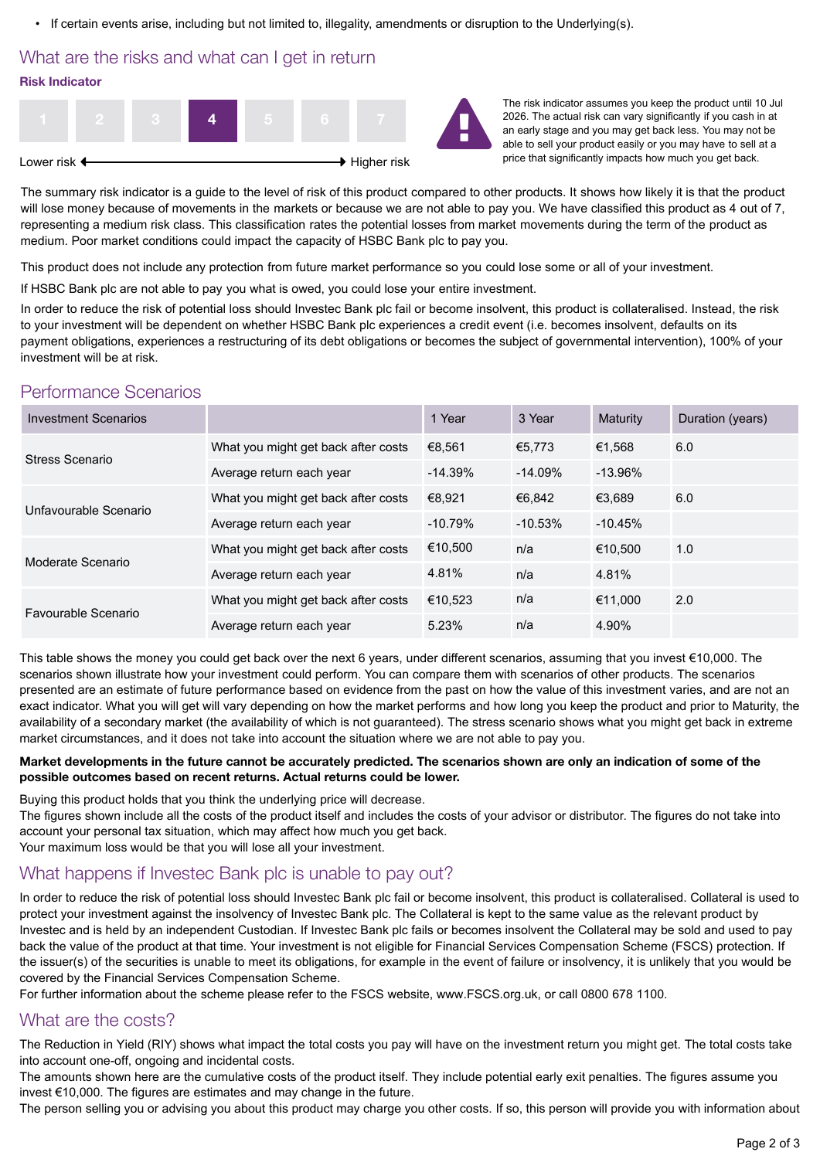• If certain events arise, including but not limited to, illegality, amendments or disruption to the Underlying(s).

## What are the risks and what can I get in return **Risk Indicator**



The risk indicator assumes you keep the product until 10 Jul 2026. The actual risk can vary significantly if you cash in at an early stage and you may get back less. You may not be able to sell your product easily or you may have to sell at a price that significantly impacts how much you get back.

The summary risk indicator is a guide to the level of risk of this product compared to other products. It shows how likely it is that the product will lose money because of movements in the markets or because we are not able to pay you. We have classified this product as 4 out of 7. representing a medium risk class. This classification rates the potential losses from market movements during the term of the product as medium. Poor market conditions could impact the capacity of HSBC Bank plc to pay you.

This product does not include any protection from future market performance so you could lose some or all of your investment.

If HSBC Bank plc are not able to pay you what is owed, you could lose your entire investment.

In order to reduce the risk of potential loss should Investec Bank plc fail or become insolvent, this product is collateralised. Instead, the risk to your investment will be dependent on whether HSBC Bank plc experiences a credit event (i.e. becomes insolvent, defaults on its payment obligations, experiences a restructuring of its debt obligations or becomes the subject of governmental intervention), 100% of your investment will be at risk.

## Performance Scenarios

| <b>Investment Scenarios</b> |                                     | 1 Year    | 3 Year     | <b>Maturity</b> | Duration (years) |
|-----------------------------|-------------------------------------|-----------|------------|-----------------|------------------|
| Stress Scenario             | What you might get back after costs | €8.561    | €5.773     | €1.568          | 6.0              |
|                             | Average return each year            | $-14.39%$ | $-14.09%$  | $-13.96%$       |                  |
| Unfavourable Scenario       | What you might get back after costs | €8.921    | €6.842     | €3.689          | 6.0              |
|                             | Average return each year            | $-10.79%$ | $-10.53\%$ | $-10.45%$       |                  |
| Moderate Scenario           | What you might get back after costs | €10.500   | n/a        | €10.500         | 1.0              |
|                             | Average return each year            | 4.81%     | n/a        | 4.81%           |                  |
| Favourable Scenario         | What you might get back after costs | €10.523   | n/a        | €11.000         | 2.0              |
|                             | Average return each year            | 5.23%     | n/a        | 4.90%           |                  |

This table shows the money you could get back over the next 6 years, under different scenarios, assuming that you invest €10,000. The scenarios shown illustrate how your investment could perform. You can compare them with scenarios of other products. The scenarios presented are an estimate of future performance based on evidence from the past on how the value of this investment varies, and are not an exact indicator. What you will get will vary depending on how the market performs and how long you keep the product and prior to Maturity, the availability of a secondary market (the availability of which is not guaranteed). The stress scenario shows what you might get back in extreme market circumstances, and it does not take into account the situation where we are not able to pay you.

#### **Market developments in the future cannot be accurately predicted. The scenarios shown are only an indication of some of the possible outcomes based on recent returns. Actual returns could be lower.**

Buying this product holds that you think the underlying price will decrease.

The figures shown include all the costs of the product itself and includes the costs of your advisor or distributor. The figures do not take into account your personal tax situation, which may affect how much you get back.

Your maximum loss would be that you will lose all your investment.

## What happens if Investec Bank plc is unable to pay out?

In order to reduce the risk of potential loss should Investec Bank plc fail or become insolvent, this product is collateralised. Collateral is used to protect your investment against the insolvency of Investec Bank plc. The Collateral is kept to the same value as the relevant product by Investec and is held by an independent Custodian. If Investec Bank plc fails or becomes insolvent the Collateral may be sold and used to pay back the value of the product at that time. Your investment is not eligible for Financial Services Compensation Scheme (FSCS) protection. If the issuer(s) of the securities is unable to meet its obligations, for example in the event of failure or insolvency, it is unlikely that you would be covered by the Financial Services Compensation Scheme.

For further information about the scheme please refer to the FSCS website, www.FSCS.org.uk, or call 0800 678 1100.

## What are the costs?

The Reduction in Yield (RIY) shows what impact the total costs you pay will have on the investment return you might get. The total costs take into account one-off, ongoing and incidental costs.

The amounts shown here are the cumulative costs of the product itself. They include potential early exit penalties. The figures assume you invest €10,000. The figures are estimates and may change in the future.

The person selling you or advising you about this product may charge you other costs. If so, this person will provide you with information about